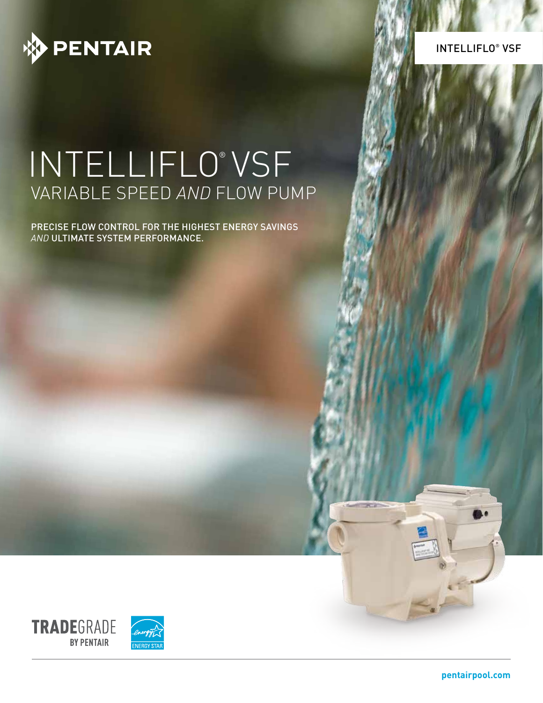

INTELLIFLO® VSF

# INTELLIFLO® VSF VARIABLE SPEED *AND* FLOW PUMP

PRECISE FLOW CONTROL FOR THE HIGHEST ENERGY SAVINGS *AND* ULTIMATE SYSTEM PERFORMANCE.



**pentairpool.com**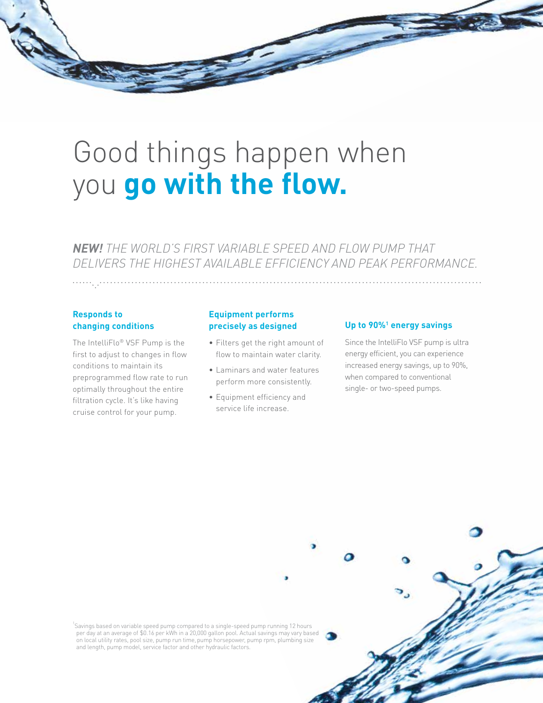

*NEW! THE WORLD'S FIRST VARIABLE SPEED AND FLOW PUMP THAT DELIVERS THE HIGHEST AVAILABLE EFFICIENCY AND PEAK PERFORMANCE.*

#### **Responds to changing conditions**

The IntelliFlo® VSF Pump is the first to adjust to changes in flow conditions to maintain its preprogrammed flow rate to run optimally throughout the entire filtration cycle. It's like having cruise control for your pump.

#### **Equipment performs precisely as designed**

- Filters get the right amount of flow to maintain water clarity.
- Laminars and water features perform more consistently.
- Equipment efficiency and service life increase.

#### Up to 90%<sup>1</sup> energy savings

Since the IntelliFlo VSF pump is ultra energy efficient, you can experience increased energy savings, up to 90%, when compared to conventional single- or two-speed pumps.

1 Savings based on variable speed pump compared to a single-speed pump running 12 hours per day at an average of \$0.16 per kWh in a 20,000 gallon pool. Actual savings may vary based on local utility rates, pool size, pump run time,pump horsepower, pump rpm, plumbing size and length, pump model, service factor and other hydraulic factors.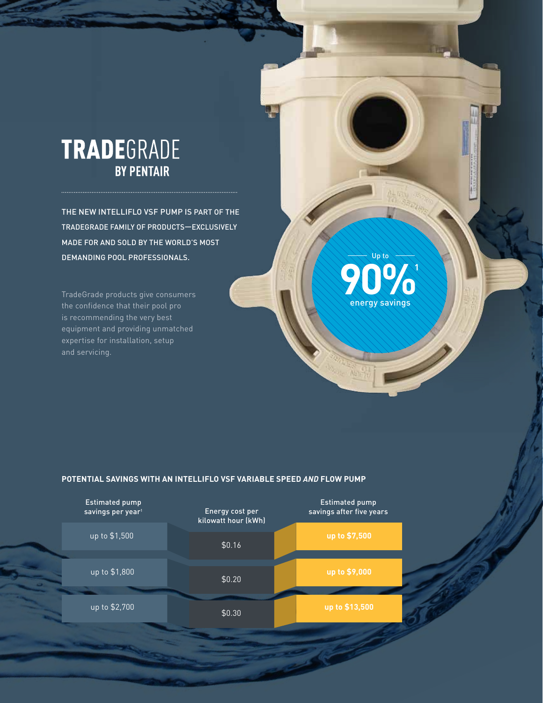### **TRADE**GRADE **BY PENTAIR**

THE NEW INTELLIFLO VSF PUMP IS PART OF THE TRADEGRADE FAMILY OF PRODUCTS—EXCLUSIVELY MADE FOR AND SOLD BY THE WORLD'S MOST DEMANDING POOL PROFESSIONALS.

TradeGrade products give consumers the confidence that their pool pro is recommending the very best equipment and providing unmatched expertise for installation, setup and servicing.

### **90%1** energy savings Up to

#### **POTENTIAL SAVINGS WITH AN INTELLIFLO VSF VARIABLE SPEED** *AND* **FLOW PUMP**

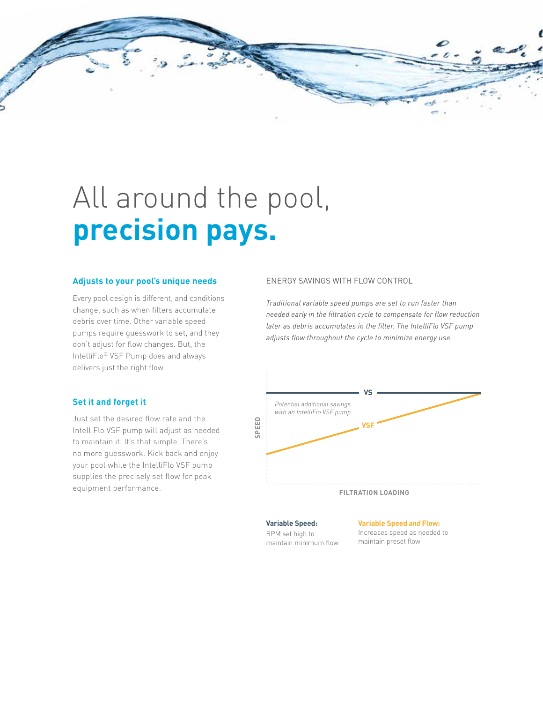

# All around the pool, **precision pays.**

#### **Adjusts to your pool's unique needs**

Every pool design is different, and conditions change, such as when filters accumulate debris over time. Other variable speed pumps require guesswork to set, and they don't adjust for flow changes. But, the IntelliFlo® VSF Pump does and always delivers just the right flow.

#### **Set it and forget it**

Just set the desired flow rate and the IntelliFlo VSF pump will adjust as needed to maintain it. It's that simple. There's no more guesswork. Kick back and enjoy your pool while the IntelliFlo VSF pump supplies the precisely set flow for peak equipment performance.

#### ENERGY SAVINGS WITH FLOW CONTROL

*Traditional variable speed pumps are set to run faster than needed early in the filtration cycle to compensate for flow reduction later as debris accumulates in the filter. The IntelliFlo VSF pump adjusts flow throughout the cycle to minimize energy use.*



#### **Variable Speed:**

#### **Variable Speed** *and* **Flow:**

RPM set high to maintain minimum flow Increases speed as needed to

maintain preset flow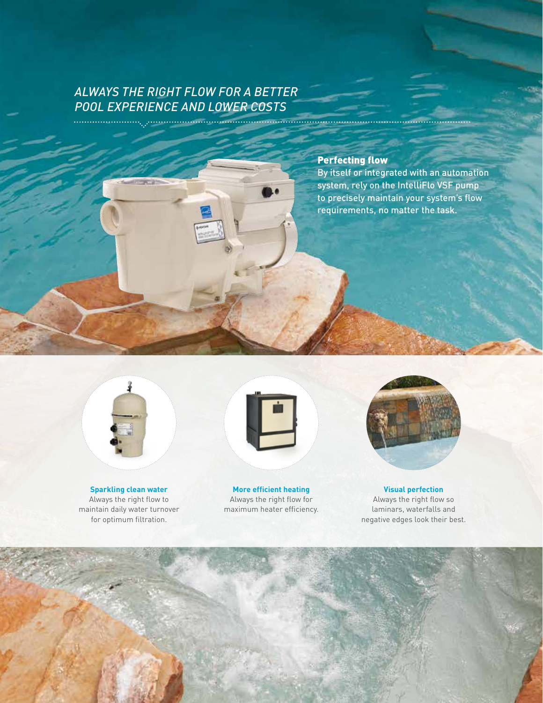#### *ALWAYS THE RIGHT FLOW FOR A BETTER POOL EXPERIENCE AND LOWER COSTS*

#### Perfecting flow

By itself or integrated with an automation system, rely on the IntelliFlo VSF pump to precisely maintain your system's flow requirements, no matter the task.



**Sparkling clean water** Always the right flow to maintain daily water turnover for optimum filtration.



**More efficient heating** Always the right flow for maximum heater efficiency.



**Visual perfection** Always the right flow so laminars, waterfalls and negative edges look their best.

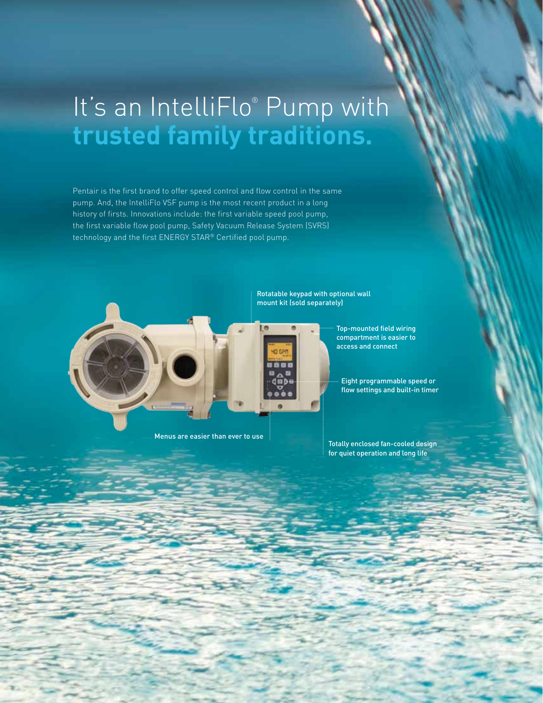## It's an IntelliFlo® Pump with **trusted family traditions.**

Pentair is the first brand to offer speed control and flow control in the same pump. And, the IntelliFlo VSF pump is the most recent product in a long history of firsts. Innovations include: the first variable speed pool pump, the first variable flow pool pump, Safety Vacuum Release System (SVRS) technology and the first ENERGY STAR® Certified pool pump.



Rotatable keypad with optional wall mount kit (sold separately)



Top-mounted field wiring compartment is easier to access and connect

Eight programmable speed or flow settings and built-in timer

Menus are easier than ever to use

Totally enclosed fan-cooled design for quiet operation and long life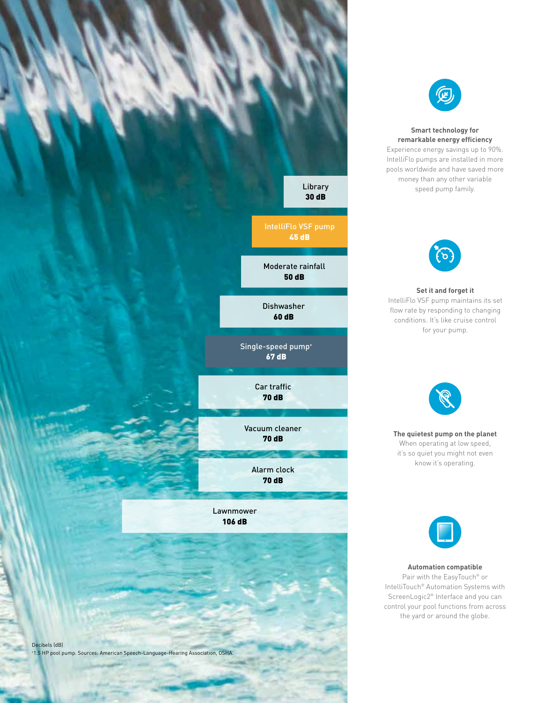



#### **Smart technology for remarkable energy efficiency**

Experience energy savings up to 90%. IntelliFlo pumps are installed in more pools worldwide and have saved more money than any other variable speed pump family.



**Set it and forget it** IntelliFlo VSF pump maintains its set flow rate by responding to changing conditions. It's like cruise control for your pump.



**The quietest pump on the planet** When operating at low speed, it's so quiet you might not even know it's operating.



#### **Automation compatible**

Pair with the EasyTouch® or IntelliTouch® Automation Systems with ScreenLogic2® Interface and you can control your pool functions from across the yard or around the globe.

Decibels (dB) + 1.5 HP pool pump. Sources: American Speech-Language-Hearing Association, OSHA.